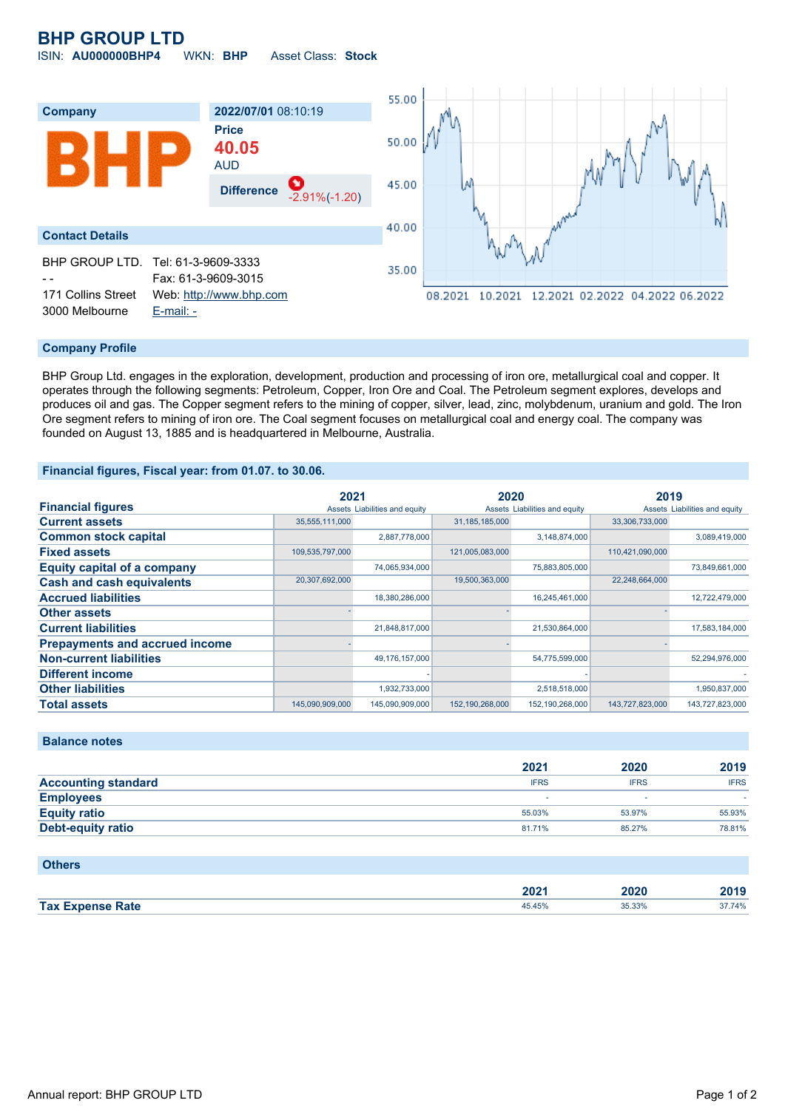# **BHP GROUP LTD**

ISIN: **AU000000BHP4** WKN: **BHP** Asset Class: **Stock**



### **Company Profile**

BHP Group Ltd. engages in the exploration, development, production and processing of iron ore, metallurgical coal and copper. It operates through the following segments: Petroleum, Copper, Iron Ore and Coal. The Petroleum segment explores, develops and produces oil and gas. The Copper segment refers to the mining of copper, silver, lead, zinc, molybdenum, uranium and gold. The Iron Ore segment refers to mining of iron ore. The Coal segment focuses on metallurgical coal and energy coal. The company was founded on August 13, 1885 and is headquartered in Melbourne, Australia.

#### **Financial figures, Fiscal year: from 01.07. to 30.06.**

|                                       | 2021            |                               | 2020              |                               | 2019            |                               |
|---------------------------------------|-----------------|-------------------------------|-------------------|-------------------------------|-----------------|-------------------------------|
| <b>Financial figures</b>              |                 | Assets Liabilities and equity |                   | Assets Liabilities and equity |                 | Assets Liabilities and equity |
| <b>Current assets</b>                 | 35,555,111,000  |                               | 31, 185, 185, 000 |                               | 33,306,733,000  |                               |
| <b>Common stock capital</b>           |                 | 2,887,778,000                 |                   | 3,148,874,000                 |                 | 3,089,419,000                 |
| <b>Fixed assets</b>                   | 109,535,797,000 |                               | 121,005,083,000   |                               | 110,421,090,000 |                               |
| <b>Equity capital of a company</b>    |                 | 74,065,934,000                |                   | 75,883,805,000                |                 | 73,849,661,000                |
| <b>Cash and cash equivalents</b>      | 20,307,692,000  |                               | 19,500,363,000    |                               | 22,248,664,000  |                               |
| <b>Accrued liabilities</b>            |                 | 18,380,286,000                |                   | 16,245,461,000                |                 | 12,722,479,000                |
| <b>Other assets</b>                   |                 |                               |                   |                               |                 |                               |
| <b>Current liabilities</b>            |                 | 21,848,817,000                |                   | 21,530,864,000                |                 | 17,583,184,000                |
| <b>Prepayments and accrued income</b> |                 |                               |                   |                               |                 |                               |
| <b>Non-current liabilities</b>        |                 | 49,176,157,000                |                   | 54,775,599,000                |                 | 52,294,976,000                |
| <b>Different income</b>               |                 |                               |                   |                               |                 |                               |
| <b>Other liabilities</b>              |                 | 1,932,733,000                 |                   | 2,518,518,000                 |                 | 1,950,837,000                 |
| <b>Total assets</b>                   | 145.090.909.000 | 145.090.909.000               | 152,190,268,000   | 152, 190, 268, 000            | 143.727.823.000 | 143.727.823.000               |

## **Balance notes**

|                            | 2021        | 2020        | 2019        |
|----------------------------|-------------|-------------|-------------|
| <b>Accounting standard</b> | <b>IFRS</b> | <b>IFRS</b> | <b>IFRS</b> |
| <b>Employees</b>           |             |             |             |
| <b>Equity ratio</b>        | 55.03%      | 53.97%      | 55.93%      |
| <b>Debt-equity ratio</b>   | 81.71%      | 85.27%      | 78.81%      |

#### **Others**

|                         | ימחה<br>ZUZ ' | 2020 | 2019   |
|-------------------------|---------------|------|--------|
| <b>Tax Expense Rate</b> | 45.45%        | .33% | 37.74% |